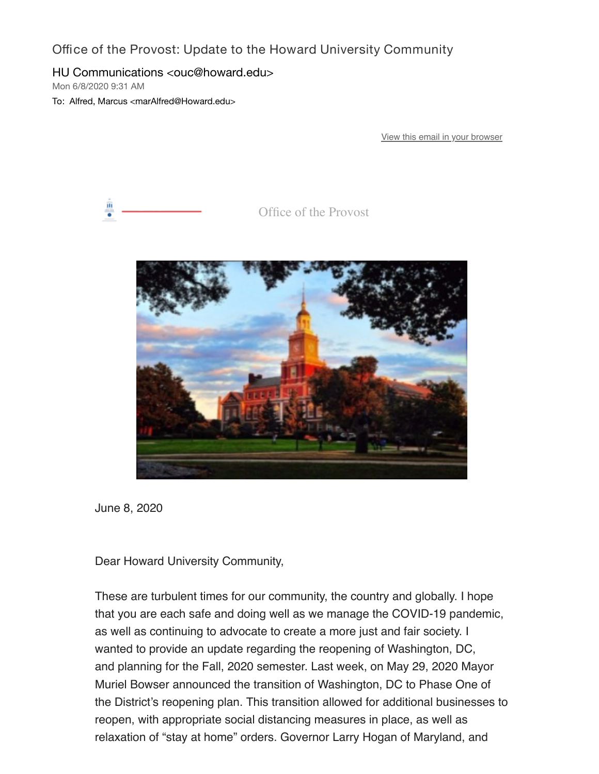Office of the Provost: Update to the Howard University Community

## HU Communications <ouc@howard.edu>

Mon 6/8/2020 9:31 AM

To: Alfred, Marcus <marAlfred@Howard.edu>

[View this email in your browser](https://nam04.safelinks.protection.outlook.com/?url=https%3A%2F%2Fus3.campaign-archive.com%2F%3Fe%3D0058eb68db%26u%3Dda96b3e11d604fc7332653c0e%26id%3D0621363452&data=02%7C01%7CmarAlfred%40Howard.edu%7Cee5cf1653f1a4ab470bf08d80bb032e1%7C02ac0c07b75f46bf9b133630ba94bb69%7C0%7C0%7C637272198678256870&sdata=8skxXyBhZoNlkwqFJTOE7aMZueiKSf89CiE3MYa1r8Y%3D&reserved=0)



Office of the Provost



June 8, 2020

Dear Howard University Community,

These are turbulent times for our community, the country and globally. I hope that you are each safe and doing well as we manage the COVID-19 pandemic, as well as continuing to advocate to create a more just and fair society. I wanted to provide an update regarding the reopening of Washington, DC, and planning for the Fall, 2020 semester. Last week, on May 29, 2020 Mayor Muriel Bowser announced the transition of Washington, DC to Phase One of the District's reopening plan. This transition allowed for additional businesses to reopen, with appropriate social distancing measures in place, as well as relaxation of "stay at home" orders. Governor Larry Hogan of Maryland, and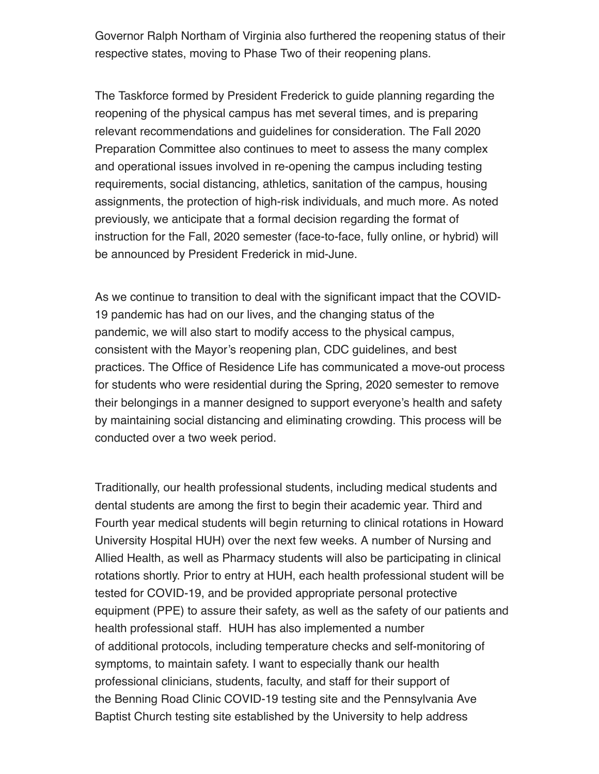Governor Ralph Northam of Virginia also furthered the reopening status of their respective states, moving to Phase Two of their reopening plans.

The Taskforce formed by President Frederick to guide planning regarding the reopening of the physical campus has met several times, and is preparing relevant recommendations and guidelines for consideration. The Fall 2020 Preparation Committee also continues to meet to assess the many complex and operational issues involved in re-opening the campus including testing requirements, social distancing, athletics, sanitation of the campus, housing assignments, the protection of high-risk individuals, and much more. As noted previously, we anticipate that a formal decision regarding the format of instruction for the Fall, 2020 semester (face-to-face, fully online, or hybrid) will be announced by President Frederick in mid-June.

As we continue to transition to deal with the significant impact that the COVID-19 pandemic has had on our lives, and the changing status of the pandemic, we will also start to modify access to the physical campus, consistent with the Mayor's reopening plan, CDC guidelines, and best practices. The Office of Residence Life has communicated a move-out process for students who were residential during the Spring, 2020 semester to remove their belongings in a manner designed to support everyone's health and safety by maintaining social distancing and eliminating crowding. This process will be conducted over a two week period.

Traditionally, our health professional students, including medical students and dental students are among the first to begin their academic year. Third and Fourth year medical students will begin returning to clinical rotations in Howard University Hospital HUH) over the next few weeks. A number of Nursing and Allied Health, as well as Pharmacy students will also be participating in clinical rotations shortly. Prior to entry at HUH, each health professional student will be tested for COVID-19, and be provided appropriate personal protective equipment (PPE) to assure their safety, as well as the safety of our patients and health professional staff. HUH has also implemented a number of additional protocols, including temperature checks and self-monitoring of symptoms, to maintain safety. I want to especially thank our health professional clinicians, students, faculty, and staff for their support of the Benning Road Clinic COVID-19 testing site and the Pennsylvania Ave Baptist Church testing site established by the University to help address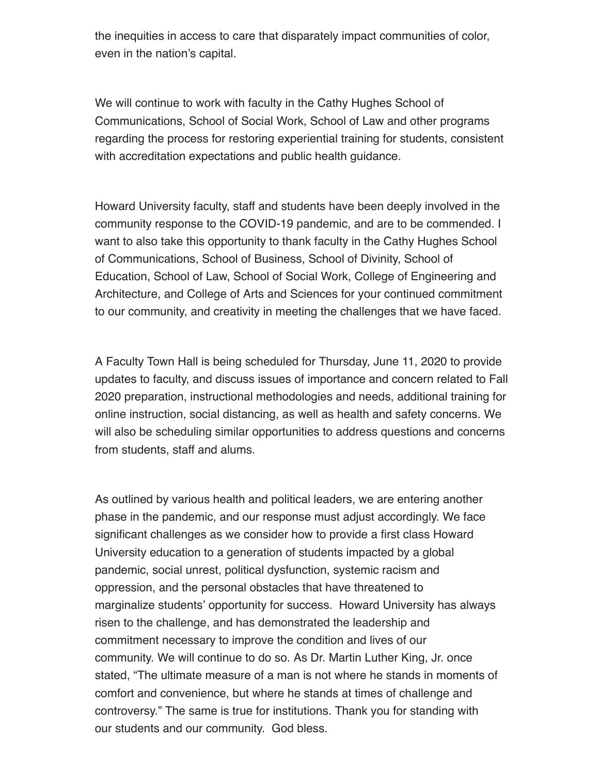the inequities in access to care that disparately impact communities of color, even in the nation's capital.

We will continue to work with faculty in the Cathy Hughes School of Communications, School of Social Work, School of Law and other programs regarding the process for restoring experiential training for students, consistent with accreditation expectations and public health guidance.

Howard University faculty, staff and students have been deeply involved in the community response to the COVID-19 pandemic, and are to be commended. I want to also take this opportunity to thank faculty in the Cathy Hughes School of Communications, School of Business, School of Divinity, School of Education, School of Law, School of Social Work, College of Engineering and Architecture, and College of Arts and Sciences for your continued commitment to our community, and creativity in meeting the challenges that we have faced.

A Faculty Town Hall is being scheduled for Thursday, June 11, 2020 to provide updates to faculty, and discuss issues of importance and concern related to Fall 2020 preparation, instructional methodologies and needs, additional training for online instruction, social distancing, as well as health and safety concerns. We will also be scheduling similar opportunities to address questions and concerns from students, staff and alums.

As outlined by various health and political leaders, we are entering another phase in the pandemic, and our response must adjust accordingly. We face significant challenges as we consider how to provide a first class Howard University education to a generation of students impacted by a global pandemic, social unrest, political dysfunction, systemic racism and oppression, and the personal obstacles that have threatened to marginalize students' opportunity for success. Howard University has always risen to the challenge, and has demonstrated the leadership and commitment necessary to improve the condition and lives of our community. We will continue to do so. As Dr. Martin Luther King, Jr. once stated, "The ultimate measure of a man is not where he stands in moments of comfort and convenience, but where he stands at times of challenge and controversy." The same is true for institutions. Thank you for standing with our students and our community. God bless.